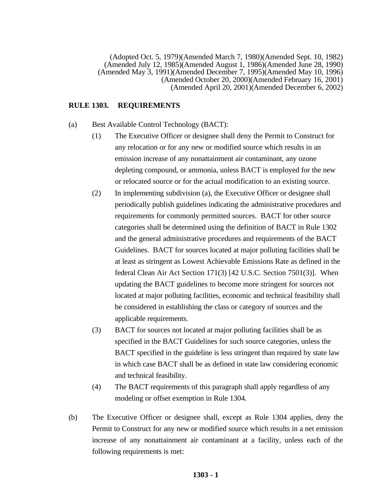(Adopted Oct. 5, 1979)(Amended March 7, 1980)(Amended Sept. 10, 1982) (Amended July 12, 1985)(Amended August 1, 1986)(Amended June 28, 1990) (Amended May 3, 1991)(Amended December 7, 1995)(Amended May 10, 1996) (Amended October 20, 2000)(Amended February 16, 2001) (Amended April 20, 2001)(Amended December 6, 2002)

### **RULE 1303. REQUIREMENTS**

- (a) Best Available Control Technology (BACT):
	- (1) The Executive Officer or designee shall deny the Permit to Construct for any relocation or for any new or modified source which results in an emission increase of any nonattainment air contaminant, any ozone depleting compound, or ammonia, unless BACT is employed for the new or relocated source or for the actual modification to an existing source.
	- (2) In implementing subdivision (a), the Executive Officer or designee shall periodically publish guidelines indicating the administrative procedures and requirements for commonly permitted sources. BACT for other source categories shall be determined using the definition of BACT in Rule 1302 and the general administrative procedures and requirements of the BACT Guidelines. BACT for sources located at major polluting facilities shall be at least as stringent as Lowest Achievable Emissions Rate as defined in the federal Clean Air Act Section 171(3) [42 U.S.C. Section 7501(3)]. When updating the BACT guidelines to become more stringent for sources not located at major polluting facilities, economic and technical feasibility shall be considered in establishing the class or category of sources and the applicable requirements.
	- (3) BACT for sources not located at major polluting facilities shall be as specified in the BACT Guidelines for such source categories, unless the BACT specified in the guideline is less stringent than required by state law in which case BACT shall be as defined in state law considering economic and technical feasibility.
	- (4) The BACT requirements of this paragraph shall apply regardless of any modeling or offset exemption in Rule 1304.
- (b) The Executive Officer or designee shall, except as Rule 1304 applies, deny the Permit to Construct for any new or modified source which results in a net emission increase of any nonattainment air contaminant at a facility, unless each of the following requirements is met: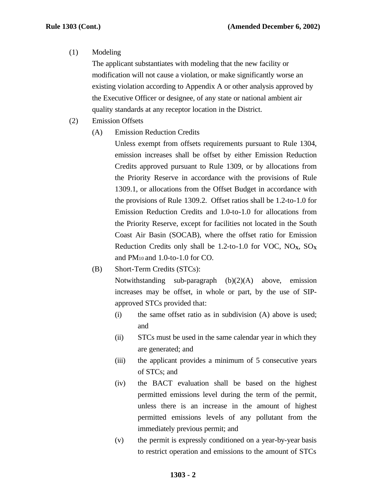### (1) Modeling

The applicant substantiates with modeling that the new facility or modification will not cause a violation, or make significantly worse an existing violation according to Appendix A or other analysis approved by the Executive Officer or designee, of any state or national ambient air quality standards at any receptor location in the District.

- (2) Emission Offsets
	- (A) Emission Reduction Credits

Unless exempt from offsets requirements pursuant to Rule 1304, emission increases shall be offset by either Emission Reduction Credits approved pursuant to Rule 1309, or by allocations from the Priority Reserve in accordance with the provisions of Rule 1309.1, or allocations from the Offset Budget in accordance with the provisions of Rule 1309.2. Offset ratios shall be 1.2-to-1.0 for Emission Reduction Credits and 1.0-to-1.0 for allocations from the Priority Reserve, except for facilities not located in the South Coast Air Basin (SOCAB), where the offset ratio for Emission Reduction Credits only shall be 1.2-to-1.0 for VOC,  $NO<sub>X</sub>$ ,  $SO<sub>X</sub>$ and PM<sup>10</sup> and 1.0-to-1.0 for CO.

(B) Short-Term Credits (STCs):

Notwithstanding sub-paragraph (b)(2)(A) above, emission increases may be offset, in whole or part, by the use of SIPapproved STCs provided that:

- (i) the same offset ratio as in subdivision (A) above is used; and
- (ii) STCs must be used in the same calendar year in which they are generated; and
- (iii) the applicant provides a minimum of 5 consecutive years of STCs; and
- (iv) the BACT evaluation shall be based on the highest permitted emissions level during the term of the permit, unless there is an increase in the amount of highest permitted emissions levels of any pollutant from the immediately previous permit; and
- (v) the permit is expressly conditioned on a year-by-year basis to restrict operation and emissions to the amount of STCs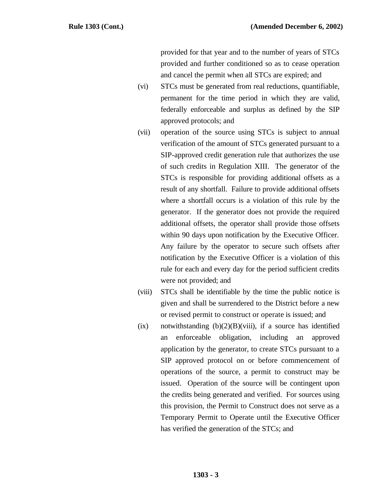provided for that year and to the number of years of STCs provided and further conditioned so as to cease operation and cancel the permit when all STCs are expired; and

- (vi) STCs must be generated from real reductions, quantifiable, permanent for the time period in which they are valid, federally enforceable and surplus as defined by the SIP approved protocols; and
- (vii) operation of the source using STCs is subject to annual verification of the amount of STCs generated pursuant to a SIP-approved credit generation rule that authorizes the use of such credits in Regulation XIII. The generator of the STCs is responsible for providing additional offsets as a result of any shortfall. Failure to provide additional offsets where a shortfall occurs is a violation of this rule by the generator. If the generator does not provide the required additional offsets, the operator shall provide those offsets within 90 days upon notification by the Executive Officer. Any failure by the operator to secure such offsets after notification by the Executive Officer is a violation of this rule for each and every day for the period sufficient credits were not provided; and
- (viii) STCs shall be identifiable by the time the public notice is given and shall be surrendered to the District before a new or revised permit to construct or operate is issued; and
- (ix) notwithstanding  $(b)(2)(B)(viii)$ , if a source has identified an enforceable obligation, including an approved application by the generator, to create STCs pursuant to a SIP approved protocol on or before commencement of operations of the source, a permit to construct may be issued. Operation of the source will be contingent upon the credits being generated and verified. For sources using this provision, the Permit to Construct does not serve as a Temporary Permit to Operate until the Executive Officer has verified the generation of the STCs; and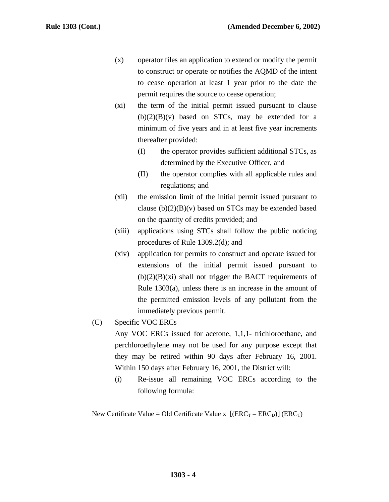- (x) operator files an application to extend or modify the permit to construct or operate or notifies the AQMD of the intent to cease operation at least 1 year prior to the date the permit requires the source to cease operation;
- (xi) the term of the initial permit issued pursuant to clause  $(b)(2)(B)(v)$  based on STCs, may be extended for a minimum of five years and in at least five year increments thereafter provided:
	- (I) the operator provides sufficient additional STCs, as determined by the Executive Officer, and
	- (II) the operator complies with all applicable rules and regulations; and
- (xii) the emission limit of the initial permit issued pursuant to clause  $(b)(2)(B)(v)$  based on STCs may be extended based on the quantity of credits provided; and
- (xiii) applications using STCs shall follow the public noticing procedures of Rule 1309.2(d); and
- (xiv) application for permits to construct and operate issued for extensions of the initial permit issued pursuant to  $(b)(2)(B)(xi)$  shall not trigger the BACT requirements of Rule 1303(a), unless there is an increase in the amount of the permitted emission levels of any pollutant from the immediately previous permit.
- (C) Specific VOC ERCs

Any VOC ERCs issued for acetone, 1,1,1- trichloroethane, and perchloroethylene may not be used for any purpose except that they may be retired within 90 days after February 16, 2001. Within 150 days after February 16, 2001, the District will:

(i) Re-issue all remaining VOC ERCs according to the following formula:

New Certificate Value = Old Certificate Value x  $[(ERC_T -ERC_D)] (ERC_T)$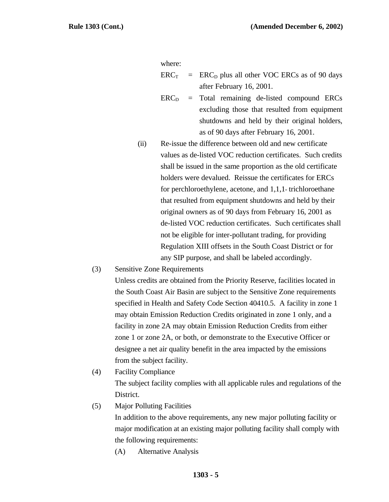where:

- $ERC<sub>T</sub>$  = ERC<sub>D</sub> plus all other VOC ERCs as of 90 days after February 16, 2001.
- $ERC<sub>D</sub>$  = Total remaining de-listed compound ERCs excluding those that resulted from equipment shutdowns and held by their original holders, as of 90 days after February 16, 2001.
- (ii) Re-issue the difference between old and new certificate values as de-listed VOC reduction certificates. Such credits shall be issued in the same proportion as the old certificate holders were devalued. Reissue the certificates for ERCs for perchloroethylene, acetone, and 1,1,1- trichloroethane that resulted from equipment shutdowns and held by their original owners as of 90 days from February 16, 2001 as de-listed VOC reduction certificates. Such certificates shall not be eligible for inter-pollutant trading, for providing Regulation XIII offsets in the South Coast District or for any SIP purpose, and shall be labeled accordingly.
- (3) Sensitive Zone Requirements

Unless credits are obtained from the Priority Reserve, facilities located in the South Coast Air Basin are subject to the Sensitive Zone requirements specified in Health and Safety Code Section 40410.5. A facility in zone 1 may obtain Emission Reduction Credits originated in zone 1 only, and a facility in zone 2A may obtain Emission Reduction Credits from either zone 1 or zone 2A, or both, or demonstrate to the Executive Officer or designee a net air quality benefit in the area impacted by the emissions from the subject facility.

(4) Facility Compliance

The subject facility complies with all applicable rules and regulations of the District.

(5) Major Polluting Facilities

In addition to the above requirements, any new major polluting facility or major modification at an existing major polluting facility shall comply with the following requirements:

(A) Alternative Analysis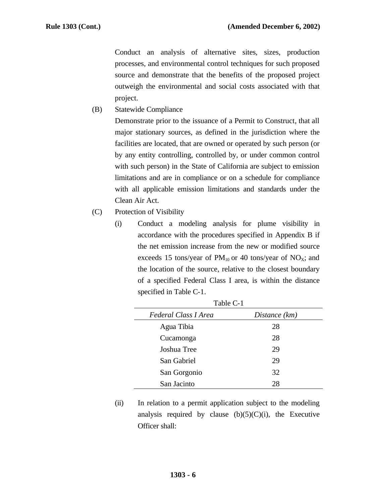Conduct an analysis of alternative sites, sizes, production processes, and environmental control techniques for such proposed source and demonstrate that the benefits of the proposed project outweigh the environmental and social costs associated with that project.

(B) Statewide Compliance

Demonstrate prior to the issuance of a Permit to Construct, that all major stationary sources, as defined in the jurisdiction where the facilities are located, that are owned or operated by such person (or by any entity controlling, controlled by, or under common control with such person) in the State of California are subject to emission limitations and are in compliance or on a schedule for compliance with all applicable emission limitations and standards under the Clean Air Act.

- (C) Protection of Visibility
	- (i) Conduct a modeling analysis for plume visibility in accordance with the procedures specified in Appendix B if the net emission increase from the new or modified source exceeds 15 tons/year of  $PM_{10}$  or 40 tons/year of NO<sub>x</sub>; and the location of the source, relative to the closest boundary of a specified Federal Class I area, is within the distance specified in Table C-1.

| Table C-1            |               |  |  |  |
|----------------------|---------------|--|--|--|
| Federal Class I Area | Distance (km) |  |  |  |
| Agua Tibia           | 28            |  |  |  |
| Cucamonga            | 28            |  |  |  |
| Joshua Tree          | 29            |  |  |  |
| San Gabriel          | 29            |  |  |  |
| San Gorgonio         | 32            |  |  |  |
| San Jacinto          | 28            |  |  |  |

(ii) In relation to a permit application subject to the modeling analysis required by clause  $(b)(5)(C)(i)$ , the Executive Officer shall: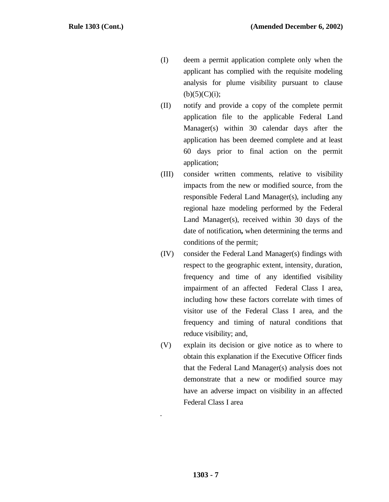- (I) deem a permit application complete only when the applicant has complied with the requisite modeling analysis for plume visibility pursuant to clause  $(b)(5)(C)(i);$
- (II) notify and provide a copy of the complete permit application file to the applicable Federal Land Manager(s) within 30 calendar days after the application has been deemed complete and at least 60 days prior to final action on the permit application;
- (III) consider written comments*,* relative to visibility impacts from the new or modified source*,* from the responsible Federal Land Manager(s), including any regional haze modeling performed by the Federal Land Manager(s), received within 30 days of the date of notification**,** when determining the terms and conditions of the permit;
- (IV) consider the Federal Land Manager(s) findings with respect to the geographic extent, intensity, duration, frequency and time of any identified visibility impairment of an affected Federal Class I area, including how these factors correlate with times of visitor use of the Federal Class I area, and the frequency and timing of natural conditions that reduce visibility; and,
- (V) explain its decision or give notice as to where to obtain this explanation if the Executive Officer finds that the Federal Land Manager(s) analysis does not demonstrate that a new or modified source may have an adverse impact on visibility in an affected Federal Class I area

.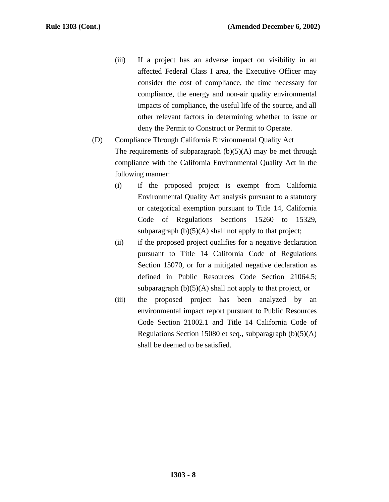- (iii) If a project has an adverse impact on visibility in an affected Federal Class I area, the Executive Officer may consider the cost of compliance, the time necessary for compliance, the energy and non-air quality environmental impacts of compliance, the useful life of the source, and all other relevant factors in determining whether to issue or deny the Permit to Construct or Permit to Operate.
- (D) Compliance Through California Environmental Quality Act The requirements of subparagraph  $(b)(5)(A)$  may be met through compliance with the California Environmental Quality Act in the following manner:
	- (i) if the proposed project is exempt from California Environmental Quality Act analysis pursuant to a statutory or categorical exemption pursuant to Title 14, California Code of Regulations Sections 15260 to 15329, subparagraph  $(b)(5)(A)$  shall not apply to that project;
	- (ii) if the proposed project qualifies for a negative declaration pursuant to Title 14 California Code of Regulations Section 15070, or for a mitigated negative declaration as defined in Public Resources Code Section 21064.5; subparagraph  $(b)(5)(A)$  shall not apply to that project, or
	- (iii) the proposed project has been analyzed by an environmental impact report pursuant to Public Resources Code Section 21002.1 and Title 14 California Code of Regulations Section 15080 et seq., subparagraph (b)(5)(A) shall be deemed to be satisfied.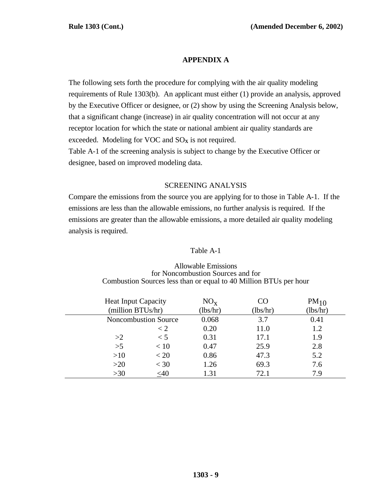# **APPENDIX A**

The following sets forth the procedure for complying with the air quality modeling requirements of Rule 1303(b). An applicant must either (1) provide an analysis, approved by the Executive Officer or designee, or (2) show by using the Screening Analysis below, that a significant change (increase) in air quality concentration will not occur at any receptor location for which the state or national ambient air quality standards are exceeded. Modeling for VOC and  $SO<sub>X</sub>$  is not required. Table A-1 of the screening analysis is subject to change by the Executive Officer or designee, based on improved modeling data.

## SCREENING ANALYSIS

Compare the emissions from the source you are applying for to those in Table A-1. If the emissions are less than the allowable emissions, no further analysis is required. If the emissions are greater than the allowable emissions, a more detailed air quality modeling analysis is required.

## Table A-1

| <b>Heat Input Capacity</b><br>(million BTUs/hr) |                             | $NO_{x}$<br>(lbs/hr) | CO<br>(lbs/hr) | $PM_{10}$<br>(lbs/hr) |
|-------------------------------------------------|-----------------------------|----------------------|----------------|-----------------------|
|                                                 | <b>Noncombustion Source</b> | 0.068                | 3.7            | 0.41                  |
|                                                 | $\lt 2$                     | 0.20                 | 11.0           | 1.2                   |
| >2                                              | $\lt$ 5                     | 0.31                 | 17.1           | 1.9                   |
| >5                                              | < 10                        | 0.47                 | 25.9           | 2.8                   |
| >10                                             | < 20                        | 0.86                 | 47.3           | 5.2                   |
| >20                                             | $<$ 30                      | 1.26                 | 69.3           | 7.6                   |
| >30                                             | $<$ 40                      | 1.31                 | 72.1           | 7.9                   |

#### Allowable Emissions for Noncombustion Sources and for Combustion Sources less than or equal to 40 Million BTUs per hour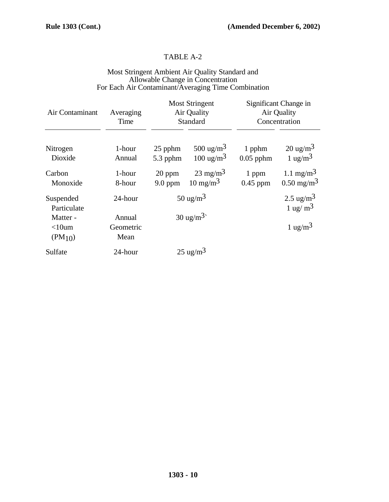# TABLE A-2

### Most Stringent Ambient Air Quality Standard and Allowable Change in Concentration For Each Air Contaminant/Averaging Time Combination

| Air Contaminant                     | Averaging<br>Time           | <b>Most Stringent</b><br>Air Quality<br>Standard |                                               | Significant Change in<br>Air Quality<br>Concentration |                                                |
|-------------------------------------|-----------------------------|--------------------------------------------------|-----------------------------------------------|-------------------------------------------------------|------------------------------------------------|
| Nitrogen<br>Dioxide                 | 1-hour<br>Annual            | 25 pphm<br>5.3 pphm                              | 500 ug/m <sup>3</sup><br>$100 \text{ ug/m}^3$ | 1 pphm<br>$0.05$ pphm                                 | $20 \text{ ug/m}^3$<br>$1 \text{ ug/m}^3$      |
| Carbon<br>Monoxide                  | 1-hour<br>8-hour            | 20 ppm<br>$9.0$ ppm                              | $23 \text{ mg/m}^3$<br>$10 \text{ mg/m}^3$    | 1 ppm<br>$0.45$ ppm                                   | 1.1 mg/m <sup>3</sup><br>$0.50 \text{ mg/m}^3$ |
| Suspended<br>Particulate            | 24-hour                     | $50 \text{ ug/m}^3$                              |                                               |                                                       | $2.5 \text{ ug/m}^3$<br>$1 \text{ ug/m}^3$     |
| Matter -<br>$<$ 10um<br>$(PM_{10})$ | Annual<br>Geometric<br>Mean |                                                  | $30 \text{ ug/m}^3$                           |                                                       | 1 ug/m <sup>3</sup>                            |
| Sulfate                             | 24-hour                     |                                                  | $25 \text{ ug/m}^3$                           |                                                       |                                                |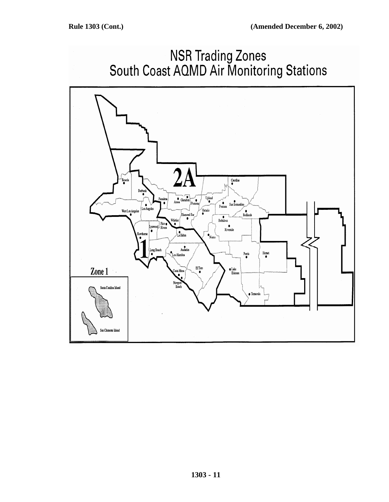

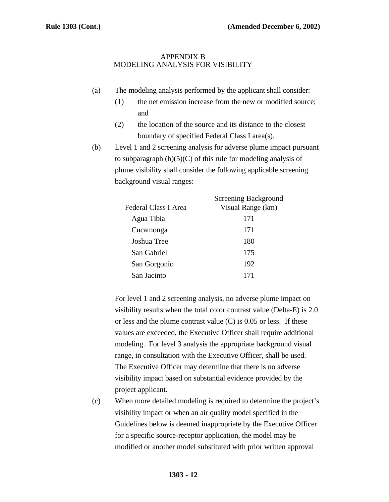### APPENDIX B MODELING ANALYSIS FOR VISIBILITY

- (a) The modeling analysis performed by the applicant shall consider:
	- (1) the net emission increase from the new or modified source; and
	- (2) the location of the source and its distance to the closest boundary of specified Federal Class I area(s).
- (b) Level 1 and 2 screening analysis for adverse plume impact pursuant to subparagraph  $(b)(5)(C)$  of this rule for modeling analysis of plume visibility shall consider the following applicable screening background visual ranges:

|                      | <b>Screening Background</b> |
|----------------------|-----------------------------|
| Federal Class I Area | Visual Range (km)           |
| Agua Tibia           | 171                         |
| Cucamonga            | 171                         |
| Joshua Tree          | 180                         |
| San Gabriel          | 175                         |
| San Gorgonio         | 192                         |
| San Jacinto          | 171                         |
|                      |                             |

For level 1 and 2 screening analysis, no adverse plume impact on visibility results when the total color contrast value (Delta-E) is 2.0 or less and the plume contrast value (C) is 0.05 or less. If these values are exceeded, the Executive Officer shall require additional modeling. For level 3 analysis the appropriate background visual range, in consultation with the Executive Officer, shall be used. The Executive Officer may determine that there is no adverse visibility impact based on substantial evidence provided by the project applicant.

(c) When more detailed modeling is required to determine the project's visibility impact or when an air quality model specified in the Guidelines below is deemed inappropriate by the Executive Officer for a specific source-receptor application, the model may be modified or another model substituted with prior written approval